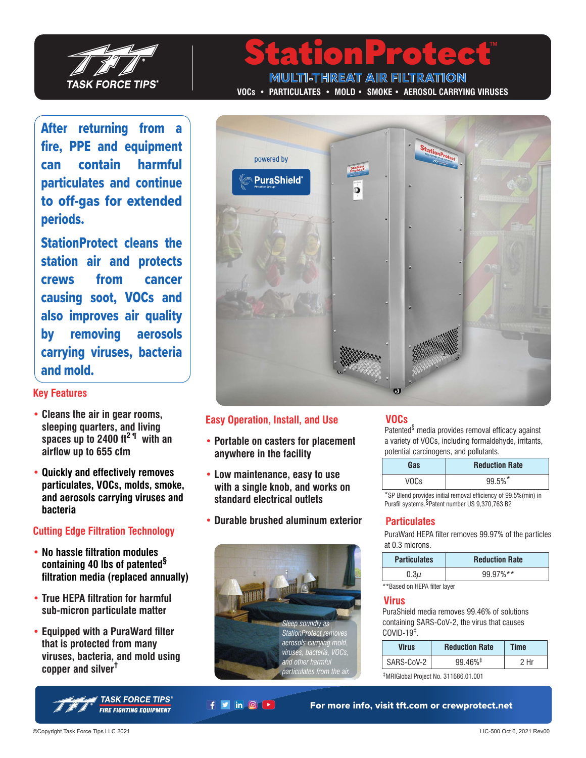

After returning from a fire, PPE and equipment can contain harmful particulates and continue to off-gas for extended periods.

StationProtect cleans the station air and protects crews from cancer causing soot, VOCs and also improves air quality by removing aerosols carrying viruses, bacteria and mold.

### **Key Features**

- **• Cleans the air in gear rooms, sleeping quarters, and living spaces up to 2400 ft2 ¶ with an airflow up to 655 cfm**
- **• Quickly and effectively removes particulates, VOCs, molds, smoke, and aerosols carrying viruses and bacteria**

## **Cutting Edge Filtration Technology**

- **• No hassle filtration modules containing 40 lbs of patented§ filtration media (replaced annually)**
- **• True HEPA filtration for harmful sub-micron particulate matter**
- **• Equipped with a PuraWard filter that is protected from many viruses, bacteria, and mold using copper and silver†**



**MULTI-THREAT AIR FILTRATION VOCs • PARTICULATES • MOLD • SMOKE • AEROSOL CARRYING VIRUSES**



#### **Easy Operation, Install, and Use**

- **• Portable on casters for placement anywhere in the facility**
- **• Low maintenance, easy to use with a single knob, and works on standard electrical outlets**
- **• Durable brushed aluminum exterior**



 $f$   $\vee$  in  $\circ$   $\rightarrow$ 

## **VOCs**

Patented§ media provides removal efficacy against a variety of VOCs, including formaldehyde, irritants, potential carcinogens, and pollutants.

| Gas  | <b>Reduction Rate</b> |  |
|------|-----------------------|--|
| VOCs | 99.5%*                |  |

\*SP Blend provides initial removal efficiency of 99.5%(min) in Purafil systems. §Patent number US 9,370,763 B2

### **Particulates**

PuraWard HEPA filter removes 99.97% of the particles at 0.3 microns.

| <b>Particulates</b> | <b>Reduction Rate</b> |
|---------------------|-----------------------|
| 0.3μ                | 99.97%**              |

\*\*Based on HEPA filter layer

#### **Virus**

PuraShield media removes 99.46% of solutions containing SARS-CoV-2, the virus that causes COVID-19‡.

| <b>Virus</b> | <b>Reduction Rate</b>  | Time |
|--------------|------------------------|------|
| SARS-CoV-2   | $99.46\%$ <sup>‡</sup> |      |

‡MRIGlobal Project No. 311686.01.001

For more info, visit tft.com or crewprotect.net

©Copyright Task Force Tips LLC 2021 LIC-500 Oct 6, 2021 Rev00